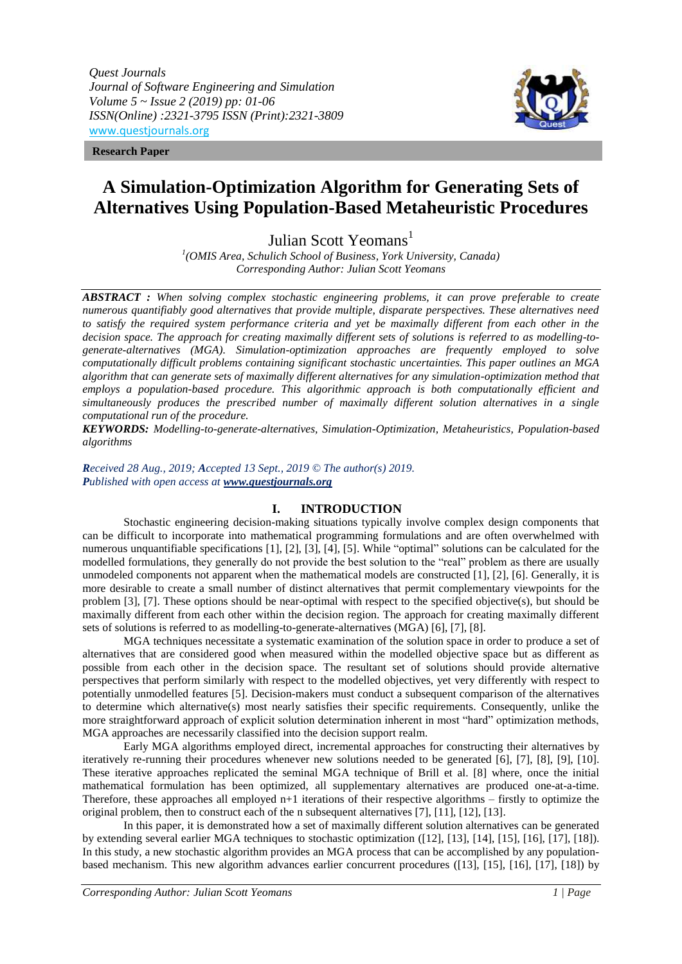*Quest Journals Journal of Software Engineering and Simulation Volume 5 ~ Issue 2 (2019) pp: 01-06 ISSN(Online) :2321-3795 ISSN (Print):2321-3809* [www.questjournals.org](http://www.questjournals.org/)

**Research Paper**

# **A Simulation-Optimization Algorithm for Generating Sets of Alternatives Using Population-Based Metaheuristic Procedures**

Julian Scott Yeomans<sup>1</sup>

*1 (OMIS Area, Schulich School of Business, York University, Canada) Corresponding Author: Julian Scott Yeomans*

*ABSTRACT : When solving complex stochastic engineering problems, it can prove preferable to create numerous quantifiably good alternatives that provide multiple, disparate perspectives. These alternatives need to satisfy the required system performance criteria and yet be maximally different from each other in the decision space. The approach for creating maximally different sets of solutions is referred to as modelling-togenerate-alternatives (MGA). Simulation-optimization approaches are frequently employed to solve computationally difficult problems containing significant stochastic uncertainties. This paper outlines an MGA algorithm that can generate sets of maximally different alternatives for any simulation-optimization method that employs a population-based procedure. This algorithmic approach is both computationally efficient and simultaneously produces the prescribed number of maximally different solution alternatives in a single computational run of the procedure.*

*KEYWORDS: Modelling-to-generate-alternatives, Simulation-Optimization, Metaheuristics, Population-based algorithms*

*Received 28 Aug., 2019; Accepted 13 Sept., 2019 © The author(s) 2019. Published with open access at www.questjournals.org*

## **I. INTRODUCTION**

Stochastic engineering decision-making situations typically involve complex design components that can be difficult to incorporate into mathematical programming formulations and are often overwhelmed with numerous unquantifiable specifications [1], [2], [3], [4], [5]. While "optimal" solutions can be calculated for the modelled formulations, they generally do not provide the best solution to the "real" problem as there are usually unmodeled components not apparent when the mathematical models are constructed [1], [2], [6]. Generally, it is more desirable to create a small number of distinct alternatives that permit complementary viewpoints for the problem [3], [7]. These options should be near-optimal with respect to the specified objective(s), but should be maximally different from each other within the decision region. The approach for creating maximally different sets of solutions is referred to as modelling-to-generate-alternatives (MGA) [6], [7], [8].

MGA techniques necessitate a systematic examination of the solution space in order to produce a set of alternatives that are considered good when measured within the modelled objective space but as different as possible from each other in the decision space. The resultant set of solutions should provide alternative perspectives that perform similarly with respect to the modelled objectives, yet very differently with respect to potentially unmodelled features [5]. Decision-makers must conduct a subsequent comparison of the alternatives to determine which alternative(s) most nearly satisfies their specific requirements. Consequently, unlike the more straightforward approach of explicit solution determination inherent in most "hard" optimization methods, MGA approaches are necessarily classified into the decision support realm.

Early MGA algorithms employed direct, incremental approaches for constructing their alternatives by iteratively re-running their procedures whenever new solutions needed to be generated [6], [7], [8], [9], [10]. These iterative approaches replicated the seminal MGA technique of Brill et al. [8] where, once the initial mathematical formulation has been optimized, all supplementary alternatives are produced one-at-a-time. Therefore, these approaches all employed n+1 iterations of their respective algorithms – firstly to optimize the original problem, then to construct each of the n subsequent alternatives [7], [11], [12], [13].

In this paper, it is demonstrated how a set of maximally different solution alternatives can be generated by extending several earlier MGA techniques to stochastic optimization ([12], [13], [14], [15], [16], [17], [18]). In this study, a new stochastic algorithm provides an MGA process that can be accomplished by any populationbased mechanism. This new algorithm advances earlier concurrent procedures ([13], [15], [16], [17], [18]) by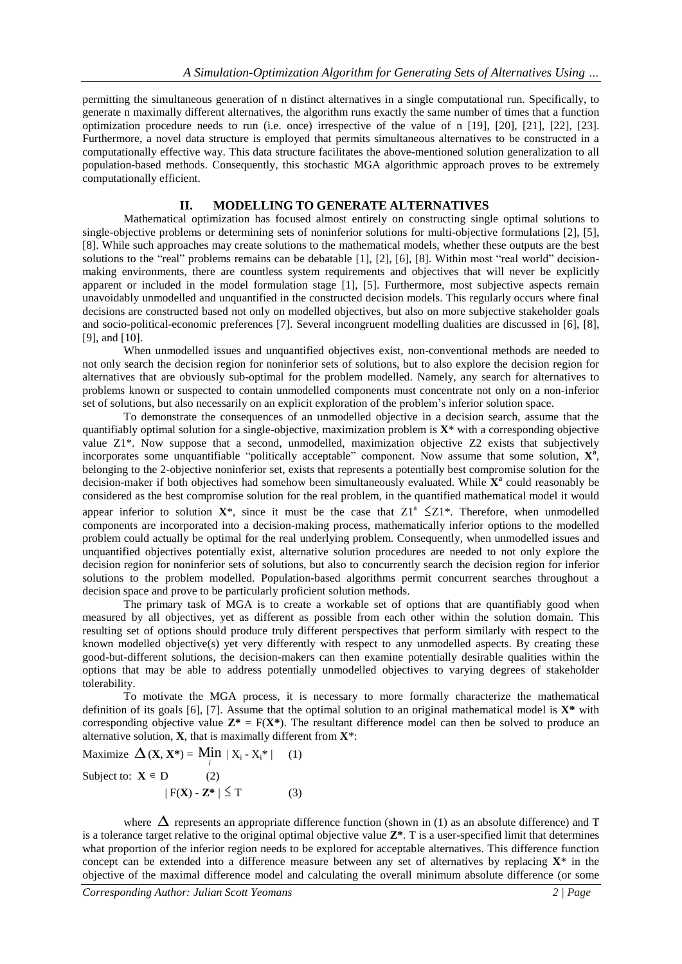permitting the simultaneous generation of n distinct alternatives in a single computational run. Specifically, to generate n maximally different alternatives, the algorithm runs exactly the same number of times that a function optimization procedure needs to run (i.e. once) irrespective of the value of n [19], [20], [21], [22], [23]. Furthermore, a novel data structure is employed that permits simultaneous alternatives to be constructed in a computationally effective way. This data structure facilitates the above-mentioned solution generalization to all population-based methods. Consequently, this stochastic MGA algorithmic approach proves to be extremely computationally efficient.

#### **II. MODELLING TO GENERATE ALTERNATIVES**

Mathematical optimization has focused almost entirely on constructing single optimal solutions to single-objective problems or determining sets of noninferior solutions for multi-objective formulations [2], [5], [8]. While such approaches may create solutions to the mathematical models, whether these outputs are the best solutions to the "real" problems remains can be debatable [1], [2], [6], [8]. Within most "real world" decisionmaking environments, there are countless system requirements and objectives that will never be explicitly apparent or included in the model formulation stage [1], [5]. Furthermore, most subjective aspects remain unavoidably unmodelled and unquantified in the constructed decision models. This regularly occurs where final decisions are constructed based not only on modelled objectives, but also on more subjective stakeholder goals and socio-political-economic preferences [7]. Several incongruent modelling dualities are discussed in [6], [8], [9], and [10].

When unmodelled issues and unquantified objectives exist, non-conventional methods are needed to not only search the decision region for noninferior sets of solutions, but to also explore the decision region for alternatives that are obviously sub-optimal for the problem modelled. Namely, any search for alternatives to problems known or suspected to contain unmodelled components must concentrate not only on a non-inferior set of solutions, but also necessarily on an explicit exploration of the problem's inferior solution space.

To demonstrate the consequences of an unmodelled objective in a decision search, assume that the quantifiably optimal solution for a single-objective, maximization problem is **X**\* with a corresponding objective value Z1\*. Now suppose that a second, unmodelled, maximization objective Z2 exists that subjectively incorporates some unquantifiable "politically acceptable" component. Now assume that some solution,  $X^a$ , belonging to the 2-objective noninferior set, exists that represents a potentially best compromise solution for the decision-maker if both objectives had somehow been simultaneously evaluated. While **X a** could reasonably be considered as the best compromise solution for the real problem, in the quantified mathematical model it would appear inferior to solution  $X^*$ , since it must be the case that  $Z1^a \leq Z1^*$ . Therefore, when unmodelled components are incorporated into a decision-making process, mathematically inferior options to the modelled problem could actually be optimal for the real underlying problem. Consequently, when unmodelled issues and unquantified objectives potentially exist, alternative solution procedures are needed to not only explore the decision region for noninferior sets of solutions, but also to concurrently search the decision region for inferior solutions to the problem modelled. Population-based algorithms permit concurrent searches throughout a decision space and prove to be particularly proficient solution methods.

The primary task of MGA is to create a workable set of options that are quantifiably good when measured by all objectives, yet as different as possible from each other within the solution domain. This resulting set of options should produce truly different perspectives that perform similarly with respect to the known modelled objective(s) yet very differently with respect to any unmodelled aspects. By creating these good-but-different solutions, the decision-makers can then examine potentially desirable qualities within the options that may be able to address potentially unmodelled objectives to varying degrees of stakeholder tolerability.

To motivate the MGA process, it is necessary to more formally characterize the mathematical definition of its goals [6], [7]. Assume that the optimal solution to an original mathematical model is **X\*** with corresponding objective value  $\mathbf{Z}^* = F(\mathbf{X}^*)$ . The resultant difference model can then be solved to produce an alternative solution, **X**, that is maximally different from **X**\*:

$$
\text{Maximize } \Delta(\mathbf{X}, \mathbf{X}^*) = \underset{i}{\text{Min }} |X_i - X_i^*| \qquad (1)
$$

Subject to:  $X \in$  $(2)$  $|F(X) - Z^*| \leq$  $(3)$ 

where  $\Delta$  represents an appropriate difference function (shown in (1) as an absolute difference) and T is a tolerance target relative to the original optimal objective value  $\mathbb{Z}^*$ . T is a user-specified limit that determines what proportion of the inferior region needs to be explored for acceptable alternatives. This difference function concept can be extended into a difference measure between any set of alternatives by replacing  $X^*$  in the objective of the maximal difference model and calculating the overall minimum absolute difference (or some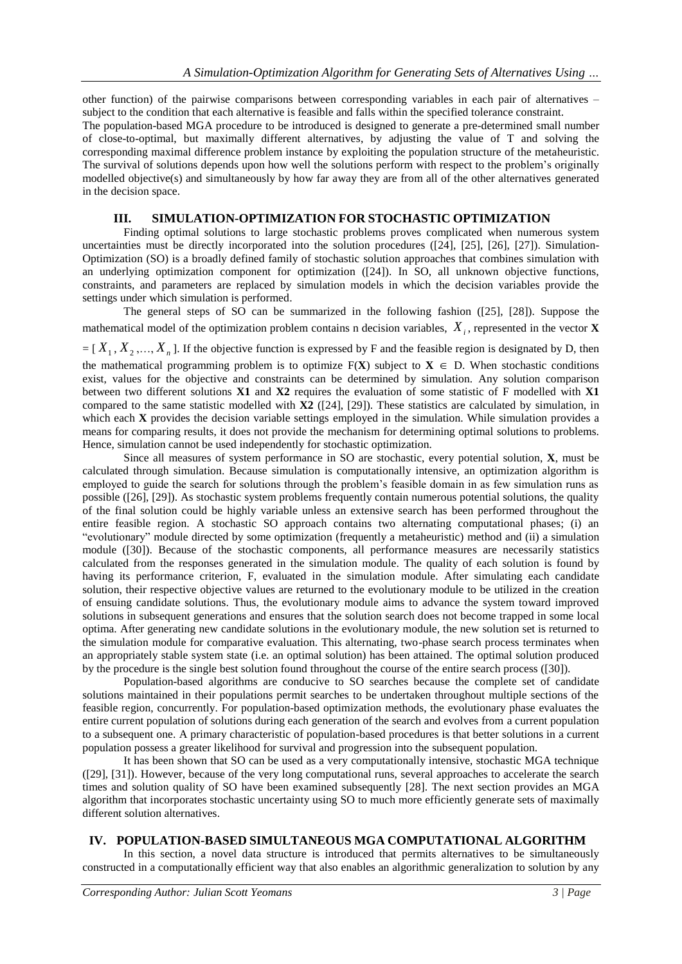other function) of the pairwise comparisons between corresponding variables in each pair of alternatives – subject to the condition that each alternative is feasible and falls within the specified tolerance constraint.

The population-based MGA procedure to be introduced is designed to generate a pre-determined small number of close-to-optimal, but maximally different alternatives, by adjusting the value of T and solving the corresponding maximal difference problem instance by exploiting the population structure of the metaheuristic. The survival of solutions depends upon how well the solutions perform with respect to the problem's originally modelled objective(s) and simultaneously by how far away they are from all of the other alternatives generated in the decision space.

# **III. SIMULATION-OPTIMIZATION FOR STOCHASTIC OPTIMIZATION**

Finding optimal solutions to large stochastic problems proves complicated when numerous system uncertainties must be directly incorporated into the solution procedures ([24], [25], [26], [27]). Simulation-Optimization (SO) is a broadly defined family of stochastic solution approaches that combines simulation with an underlying optimization component for optimization ([24]). In SO, all unknown objective functions, constraints, and parameters are replaced by simulation models in which the decision variables provide the settings under which simulation is performed.

The general steps of SO can be summarized in the following fashion ([25], [28]). Suppose the mathematical model of the optimization problem contains n decision variables, *Xi* , represented in the vector **X**

 $=[X_1, X_2, \ldots, X_n]$ . If the objective function is expressed by F and the feasible region is designated by D, then the mathematical programming problem is to optimize  $F(X)$  subject to  $X \in D$ . When stochastic conditions

exist, values for the objective and constraints can be determined by simulation. Any solution comparison between two different solutions **X1** and **X2** requires the evaluation of some statistic of F modelled with **X1** compared to the same statistic modelled with **X2** ([24], [29]). These statistics are calculated by simulation, in which each **X** provides the decision variable settings employed in the simulation. While simulation provides a means for comparing results, it does not provide the mechanism for determining optimal solutions to problems. Hence, simulation cannot be used independently for stochastic optimization.

Since all measures of system performance in SO are stochastic, every potential solution, **X**, must be calculated through simulation. Because simulation is computationally intensive, an optimization algorithm is employed to guide the search for solutions through the problem's feasible domain in as few simulation runs as possible ([26], [29]). As stochastic system problems frequently contain numerous potential solutions, the quality of the final solution could be highly variable unless an extensive search has been performed throughout the entire feasible region. A stochastic SO approach contains two alternating computational phases; (i) an "evolutionary" module directed by some optimization (frequently a metaheuristic) method and (ii) a simulation module ([30]). Because of the stochastic components, all performance measures are necessarily statistics calculated from the responses generated in the simulation module. The quality of each solution is found by having its performance criterion, F, evaluated in the simulation module. After simulating each candidate solution, their respective objective values are returned to the evolutionary module to be utilized in the creation of ensuing candidate solutions. Thus, the evolutionary module aims to advance the system toward improved solutions in subsequent generations and ensures that the solution search does not become trapped in some local optima. After generating new candidate solutions in the evolutionary module, the new solution set is returned to the simulation module for comparative evaluation. This alternating, two-phase search process terminates when an appropriately stable system state (i.e. an optimal solution) has been attained. The optimal solution produced by the procedure is the single best solution found throughout the course of the entire search process ([30]).

Population-based algorithms are conducive to SO searches because the complete set of candidate solutions maintained in their populations permit searches to be undertaken throughout multiple sections of the feasible region, concurrently. For population-based optimization methods, the evolutionary phase evaluates the entire current population of solutions during each generation of the search and evolves from a current population to a subsequent one. A primary characteristic of population-based procedures is that better solutions in a current population possess a greater likelihood for survival and progression into the subsequent population.

It has been shown that SO can be used as a very computationally intensive, stochastic MGA technique ([29], [31]). However, because of the very long computational runs, several approaches to accelerate the search times and solution quality of SO have been examined subsequently [28]. The next section provides an MGA algorithm that incorporates stochastic uncertainty using SO to much more efficiently generate sets of maximally different solution alternatives.

## **IV. POPULATION-BASED SIMULTANEOUS MGA COMPUTATIONAL ALGORITHM**

In this section, a novel data structure is introduced that permits alternatives to be simultaneously constructed in a computationally efficient way that also enables an algorithmic generalization to solution by any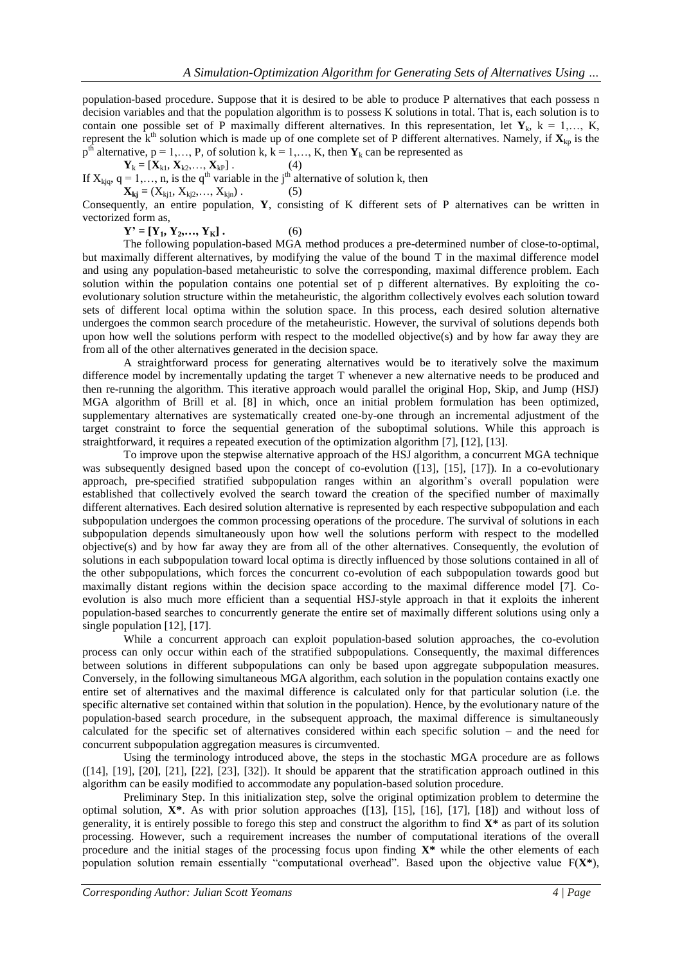population-based procedure. Suppose that it is desired to be able to produce P alternatives that each possess n decision variables and that the population algorithm is to possess K solutions in total. That is, each solution is to contain one possible set of P maximally different alternatives. In this representation, let  $Y_k$ ,  $k = 1,..., K$ , represent the  $k^{th}$  solution which is made up of one complete set of P different alternatives. Namely, if  $X_{kp}$  is the  $p<sup>th</sup>$  alternative,  $p = 1, ..., P$ , of solution k,  $k = 1, ..., K$ , then  $Y_k$  can be represented as

 $Y_k = [X_{k1}, X_{k2}, \dots, X_{kP}]$ . (4)

If  $X_{kjq}$ ,  $q = 1,..., n$ , is the  $q^{th}$  variable in the j<sup>th</sup> alternative of solution k, then

 $X_{kj} = (X_{kj1}, X_{kj2}, \dots, X_{kjn})$  . (5)

Consequently, an entire population, **Y**, consisting of K different sets of P alternatives can be written in vectorized form as,

 $Y' = [Y_1, Y_2, \dots, Y_K].$  (6)

The following population-based MGA method produces a pre-determined number of close-to-optimal, but maximally different alternatives, by modifying the value of the bound T in the maximal difference model and using any population-based metaheuristic to solve the corresponding, maximal difference problem. Each solution within the population contains one potential set of p different alternatives. By exploiting the coevolutionary solution structure within the metaheuristic, the algorithm collectively evolves each solution toward sets of different local optima within the solution space. In this process, each desired solution alternative undergoes the common search procedure of the metaheuristic. However, the survival of solutions depends both upon how well the solutions perform with respect to the modelled objective(s) and by how far away they are from all of the other alternatives generated in the decision space.

A straightforward process for generating alternatives would be to iteratively solve the maximum difference model by incrementally updating the target T whenever a new alternative needs to be produced and then re-running the algorithm. This iterative approach would parallel the original Hop, Skip, and Jump (HSJ) MGA algorithm of Brill et al. [8] in which, once an initial problem formulation has been optimized, supplementary alternatives are systematically created one-by-one through an incremental adjustment of the target constraint to force the sequential generation of the suboptimal solutions. While this approach is straightforward, it requires a repeated execution of the optimization algorithm [7], [12], [13].

To improve upon the stepwise alternative approach of the HSJ algorithm, a concurrent MGA technique was subsequently designed based upon the concept of co-evolution ([13], [15], [17]). In a co-evolutionary approach, pre-specified stratified subpopulation ranges within an algorithm's overall population were established that collectively evolved the search toward the creation of the specified number of maximally different alternatives. Each desired solution alternative is represented by each respective subpopulation and each subpopulation undergoes the common processing operations of the procedure. The survival of solutions in each subpopulation depends simultaneously upon how well the solutions perform with respect to the modelled objective(s) and by how far away they are from all of the other alternatives. Consequently, the evolution of solutions in each subpopulation toward local optima is directly influenced by those solutions contained in all of the other subpopulations, which forces the concurrent co-evolution of each subpopulation towards good but maximally distant regions within the decision space according to the maximal difference model [7]. Coevolution is also much more efficient than a sequential HSJ-style approach in that it exploits the inherent population-based searches to concurrently generate the entire set of maximally different solutions using only a single population [12], [17].

While a concurrent approach can exploit population-based solution approaches, the co-evolution process can only occur within each of the stratified subpopulations. Consequently, the maximal differences between solutions in different subpopulations can only be based upon aggregate subpopulation measures. Conversely, in the following simultaneous MGA algorithm, each solution in the population contains exactly one entire set of alternatives and the maximal difference is calculated only for that particular solution (i.e. the specific alternative set contained within that solution in the population). Hence, by the evolutionary nature of the population-based search procedure, in the subsequent approach, the maximal difference is simultaneously calculated for the specific set of alternatives considered within each specific solution – and the need for concurrent subpopulation aggregation measures is circumvented.

Using the terminology introduced above, the steps in the stochastic MGA procedure are as follows  $(14]$ ,  $[19]$ ,  $[20]$ ,  $[21]$ ,  $[22]$ ,  $[23]$ ,  $[32]$ ). It should be apparent that the stratification approach outlined in this algorithm can be easily modified to accommodate any population-based solution procedure.

Preliminary Step. In this initialization step, solve the original optimization problem to determine the optimal solution, **X\***. As with prior solution approaches ([13], [15], [16], [17], [18]) and without loss of generality, it is entirely possible to forego this step and construct the algorithm to find **X\*** as part of its solution processing. However, such a requirement increases the number of computational iterations of the overall procedure and the initial stages of the processing focus upon finding **X\*** while the other elements of each population solution remain essentially "computational overhead". Based upon the objective value F(**X\***),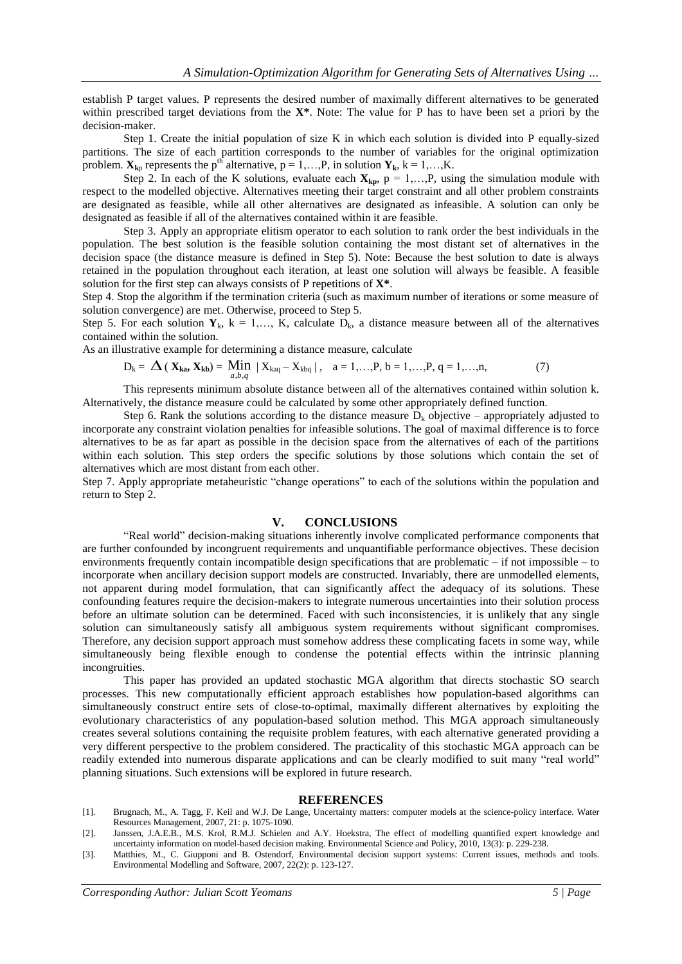establish P target values. P represents the desired number of maximally different alternatives to be generated within prescribed target deviations from the **X\***. Note: The value for P has to have been set a priori by the decision-maker.

Step 1. Create the initial population of size K in which each solution is divided into P equally-sized partitions. The size of each partition corresponds to the number of variables for the original optimization problem.  $\mathbf{X}_{\mathbf{k}p}$  represents the  $p^{\text{th}}$  alternative,  $p = 1, \ldots, P$ , in solution  $\mathbf{Y}_{\mathbf{k}}$ ,  $k = 1, \ldots, K$ .

Step 2. In each of the K solutions, evaluate each  $X_{kp}$ ,  $p = 1,...,P$ , using the simulation module with respect to the modelled objective. Alternatives meeting their target constraint and all other problem constraints are designated as feasible, while all other alternatives are designated as infeasible. A solution can only be designated as feasible if all of the alternatives contained within it are feasible.

Step 3. Apply an appropriate elitism operator to each solution to rank order the best individuals in the population. The best solution is the feasible solution containing the most distant set of alternatives in the decision space (the distance measure is defined in Step 5). Note: Because the best solution to date is always retained in the population throughout each iteration, at least one solution will always be feasible. A feasible solution for the first step can always consists of P repetitions of **X\***.

Step 4. Stop the algorithm if the termination criteria (such as maximum number of iterations or some measure of solution convergence) are met. Otherwise, proceed to Step 5.

Step 5. For each solution  $Y_k$ ,  $k = 1,..., K$ , calculate  $D_k$ , a distance measure between all of the alternatives contained within the solution.

As an illustrative example for determining a distance measure, calculate

$$
D_k = \Delta (\mathbf{X}_{ka}, \mathbf{X}_{kb}) = \underset{a, b, q}{\text{Min}} |X_{kaq} - X_{kbq}|, \quad a = 1,...,P, b = 1,...,P, q = 1,...,n,
$$
 (7)

This represents minimum absolute distance between all of the alternatives contained within solution k. Alternatively, the distance measure could be calculated by some other appropriately defined function.

Step 6. Rank the solutions according to the distance measure  $D_k$  objective – appropriately adjusted to incorporate any constraint violation penalties for infeasible solutions. The goal of maximal difference is to force alternatives to be as far apart as possible in the decision space from the alternatives of each of the partitions within each solution. This step orders the specific solutions by those solutions which contain the set of alternatives which are most distant from each other.

Step 7. Apply appropriate metaheuristic "change operations" to each of the solutions within the population and return to Step 2.

#### **V. CONCLUSIONS**

"Real world" decision-making situations inherently involve complicated performance components that are further confounded by incongruent requirements and unquantifiable performance objectives. These decision environments frequently contain incompatible design specifications that are problematic – if not impossible – to incorporate when ancillary decision support models are constructed. Invariably, there are unmodelled elements, not apparent during model formulation, that can significantly affect the adequacy of its solutions. These confounding features require the decision-makers to integrate numerous uncertainties into their solution process before an ultimate solution can be determined. Faced with such inconsistencies, it is unlikely that any single solution can simultaneously satisfy all ambiguous system requirements without significant compromises. Therefore, any decision support approach must somehow address these complicating facets in some way, while simultaneously being flexible enough to condense the potential effects within the intrinsic planning incongruities.

This paper has provided an updated stochastic MGA algorithm that directs stochastic SO search processes. This new computationally efficient approach establishes how population-based algorithms can simultaneously construct entire sets of close-to-optimal, maximally different alternatives by exploiting the evolutionary characteristics of any population-based solution method. This MGA approach simultaneously creates several solutions containing the requisite problem features, with each alternative generated providing a very different perspective to the problem considered. The practicality of this stochastic MGA approach can be readily extended into numerous disparate applications and can be clearly modified to suit many "real world" planning situations. Such extensions will be explored in future research.

#### **REFERENCES**

- [1]. Brugnach, M., A. Tagg, F. Keil and W.J. De Lange, Uncertainty matters: computer models at the science-policy interface. Water Resources Management, 2007, 21: p. 1075-1090.
- [2]. Janssen, J.A.E.B., M.S. Krol, R.M.J. Schielen and A.Y. Hoekstra, The effect of modelling quantified expert knowledge and uncertainty information on model-based decision making. Environmental Science and Policy, 2010, 13(3): p. 229-238.
- [3]. Matthies, M., C. Giupponi and B. Ostendorf, Environmental decision support systems: Current issues, methods and tools. Environmental Modelling and Software, 2007, 22(2): p. 123-127.